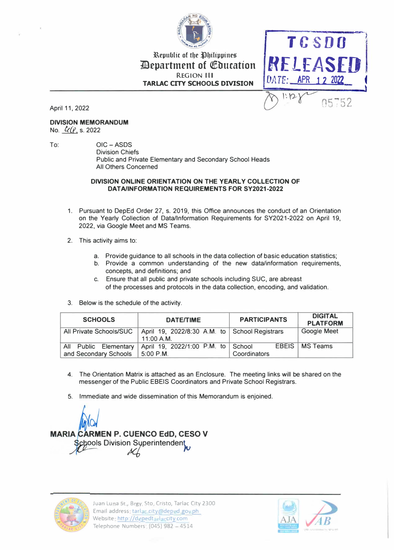

# Republic of the Philippines *Pepartment of Education* **REGION III TARLAC CITY SCHOOLS DIVISION**



April 11, 2022

### **DIVISION MEMORANDUM**

No. *L*(*l*, s. 2022

To:

OIC-ASDS **Division Chiefs** Public and Private Elementary and Secondary School Heads All Others Concerned

#### DIVISION ONLINE ORIENTATION ON THE YEARLY COLLECTION OF **DATA/INFORMATION REQUIREMENTS FOR SY2021-2022**

- 1. Pursuant to DepEd Order 27, s. 2019, this Office announces the conduct of an Orientation on the Yearly Collection of Data/Information Requirements for SY2021-2022 on April 19, 2022, via Google Meet and MS Teams.
- 2. This activity aims to:
	- a. Provide guidance to all schools in the data collection of basic education statistics;
	- b. Provide a common understanding of the new data/information requirements, concepts, and definitions; and
	- Ensure that all public and private schools including SUC, are abreast C. of the processes and protocols in the data collection, encoding, and validation.
- 3. Below is the schedule of the activity.

| <b>SCHOOLS</b>                                           | <b>DATE/TIME</b>                                            | <b>PARTICIPANTS</b> | <b>DIGITAL</b><br><b>PLATFORM</b> |
|----------------------------------------------------------|-------------------------------------------------------------|---------------------|-----------------------------------|
| All Private Schools/SUC                                  | April 19, 2022/8:30 A.M. to School Registrars<br>11:00 A.M. |                     | <b>Google Meet</b>                |
| <b>Public Elementary</b><br>All<br>and Secondary Schools | April 19, 2022/1:00 P.M. to School<br>5:00 P.M.             | Coordinators        | <b>EBEIS   MS Teams</b>           |

- 4. The Orientation Matrix is attached as an Enclosure. The meeting links will be shared on the messenger of the Public EBEIS Coordinators and Private School Registrars.
- 5. Immediate and wide dissemination of this Memorandum is enjoined.

**MARIA CARMEN P. CUENCO EdD. CESO V** chools Division Syperintendent